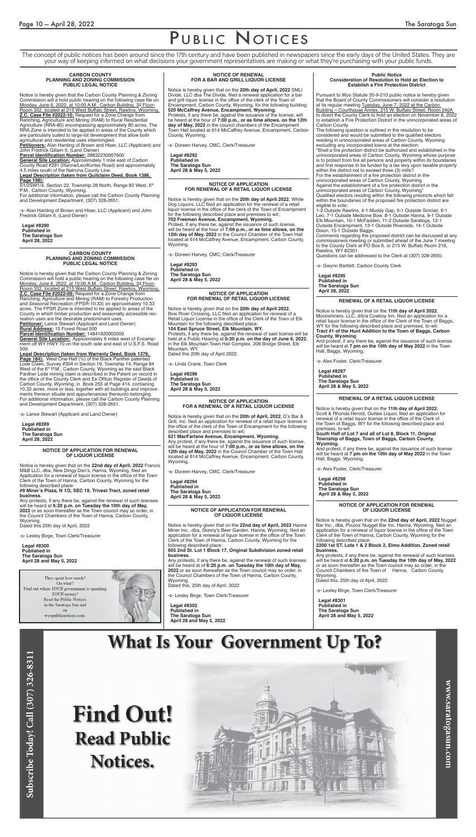## PUBLIC NOTICES

The concept of public notices has been around since the 17th century and have been published in newspapers since the early days of the United States. They are your way of keeping informed on what decisions your government representatives are making or what they're purchasing with your public funds.

### **CARBON COUNTY PLANNING AND ZONING COMMISSION PUBLIC LEGAL NOTICE**

Parcel Identification Number: 28832230007600 **General Site Location:** Approximately 1 mile east of Carbon County Road #291 (Hanna/Leo/Kortes Road) and approximately 4.5 miles south of the Natrona County Line.

Notice is hereby given that the Carbon County Planning & Zoning Commission will a hold public hearing on the following case file on Monday, June 6, 2022, at 10:00 A.M., Carbon Building, 3rd Floor-Room 332, located at 215 West Buffalo Street, Rawlins, Wyoming. **Z.C. Case File #2022-10:** Request for a Zone Change from Ranching, Agriculture and Mining (RAM) to Rural Residential Agriculture (RRA-80) encompassing approximately 80 acres. The RRA Zone is intended to be applied in areas of the County which are particularly suited to large-lot development that allow both agricultural and residential uses intermingled.

 $S1/2$ SW1/4, Section 22, Township 28 North, Range 83 West,  $6<sup>th</sup>$ P.M., Carbon County, Wyoming.

**Petitioners:** Alan Harding of Brown and Hiser, LLC (Applicant) and John Fredrick Gillam II, (Land Owner)

**Legal Description (taken from Quitclaim Deed, Book 1386, Page 198):**

For additional information, please call the Carbon County Planning and Development Department, (307) 328-2651.

-s- Alan Harding of Brown and Hiser, LLC (Applicant) and John Fredrick Gillam II, (Land Owner)

**Legal #8290 Published in The Saratoga Sun April 28, 2022**

### **NOTICE OF APPLICATION FOR RENEWAL OF LIQUOR LICENSE**

Notice is hereby given that on the **22nd day of April, 2022** Francis M&B LLC, dba, New Dingy Dan's, Hanna, Wyoming, filed an Application for a renewal of liquor license in the office of the Town Clerk of the Town of Hanna, Carbon County, Wyoming for the following described place: **#9 Miner's Plaza, N 1/2, SEC 19, Trivest Tract, zoned retail business**. Any protests, if any there be, against the renewal of such licenses will be heard at **6:20 p.m. on Tuesday the 10th day of May, 2022** or as soon thereafter as the Town council may so order, in the Council Chambers of the Town of Hanna, Carbon County, Wyoming. Dated this 25th day of April, 2022

-s- Lesley Birge, Town Clerk/Treasurer

**Legal #8300 Published in The Saratoga Sun April 28 and May 5, 2022**

Subscribe Today! Call (307) 326-8311

They spent how much? On what? Find out where YOUR government is spending YOUR money! Read the Public Notices in the Saratoga Sun and on wyopublicnotices.com.



### **NOTICE OF RENEWAL FOR A BAR AND GRILL LIQUOR LICENSE**

Notice is hereby given that on the **20th day of April, 2022** SMLI Divide, LLC dba The Divide, filed a renewal application for a bar and grill liquor license in the office of the clerk of the Town of Encampment, Carbon County, Wyoming, for the following building: **520 McCaffrey Avenue, Encampment, Wyoming**. Protests, if any there be, against the issuance of the license, will be heard at the hour of **7:00 p.m., or as time allows, on the 12th day of May, 2022** in the council chambers of the Encampment Town Hall located at 614 McCaffrey Avenue, Encampment, Carbon County, Wyoming.

-s- Doreen Harvey, CMC, Clerk/Treasurer

**Legal #8292 Published in The Saratoga Sun April 28 & May 5, 2022**

### **NOTICE OF APPLICATION FOR RENEWAL OF A RETAIL LIQUOR LICENSE**

Notice is hereby given that on the **20th day of April 2022**, White Dog Liquors, LLC filed an application for the renewal of a retail liquor license in the office of the clerk of the Town of Encampment for the following described place and premises to wit; **702 Freeman Avenue, Encampment, Wyoming.**  Protest, if any there be, against the issuance of such license, will be heard at the hour of **7:00 p.m., or as time allows, on the 12th day of May, 2022** in the Council Chamber of the Town Hall located at 614 McCaffrey Avenue, Encampment, Carbon County, Wyoming.

Protests, if any there be, against the renewal of said license will be held at a Public Hearing at **6:30 p.m. on the day of June 6, 2022**, in the Elk Mountain Town Hall Complex, 206 Bridge Street, Elk Mountain, WY.

-s- Doreen Harvey, CMC, Clerk/Treasurer

**Legal #8293 Published in The Saratoga Sun April 28 & May 5, 2022**

### **NOTICE OF APPLICATION FOR A RENEWAL OF A RETAIL LIQUOR LICENSE**

Notice is hereby given that on the **20th of April, 2022**, D's Bar & Grill, Inc. filed an application for renewal of a retail liquor license in the office of the clerk of the Town of Encampment for the following described place and premises to wit;

**621 MacFarlane Avenue, Encampment, Wyoming.** Any protest, if any there be, against the issuance of such license, will be heard at the hour of **7:00 p.m., or as time allows, on the 12th day of May, 2022** in the Council Chamber of the Town Hall located at 614 McCaffrey Avenue, Encampment, Carbon County, Wyoming.

-s- Doreen Harvey, CMC, Clerk/Treasurer

**Legal #8294 Published in The Saratoga Sun April 28 & May 5, 2022**

### **Public Notice Consideration of Resolution to Hold an Election to Establish a Fire Protection District**

Pursuant to Wyo Statute 35-9-210 public notice is hereby given that the Board of County Commissioners will consider a resolution at its regular meeting Tuesday, June 7, 2022 at the Carbon Building ~ Courthouse Annex, 215 W. Buffalo Street, Room 240A to direct the County Clerk to hold an election on November 8, 2022 to establish a Fire Protection District in the unincorporated areas of Carbon County.

The following question is outlined in the resolution to be considered and would be submitted to the qualified electors residing in unincorporated areas of Carbon County, Wyoming excluding any incorporated towns at the election:

"Shall a fire protection district be authorized and established in the unincorporated areas of Carbon County, Wyoming whose purpose is to protect from fire all persons and property within its boundaries and first response to be funded by a tax levy upon taxable property within the district not to exceed three (3) mills?

For the establishment of a fire protection district in the unincorporated areas of Carbon County, Wyoming

Against the establishment of a fire protection district in the unincorporated areas of Carbon County, Wyoming"

Qualified electors residing within the following precincts which fall within the boundaries of the proposed fire protection district are eligible to vote:

1-2 Outside Rawlins, 4-1 Muddy Gap, 5-1 Outside Sinclair, 6-1 Leo, 7-1 Outside Medicine Bow, 8-1 Outside Hanna, 9-1 Outside Elk Mountain, 10-1 McFadden, 11-2 Outside Saratoga, 12-1 Outside Encampment, 13-1 Outside Riverside, 14-1 Outside Dixon, 15-1 Outside Baggs.

Comments regarding the proposed district can be discussed at any commissioners meeting or submitted ahead of the June 7 meeting to the County Clerk at PO Box 6, or 215 W. Buffalo Room 218, Rawlins, WY 82301.

Questions can be addressed to the Clerk at (307) 328-2650.

-s- Gwynn Bartlett, Carbon County Clerk

**Legal #8295 Published in The Saratoga Sun**

### **April 28, 2022 NOTICE OF APPLICATION FOR RENEWAL OF RETAIL LIQUOR LICENSE**

Notice is hereby given that on the **20th day of April 2022**, Bow River Crossing, LLC filed an application for renewal of a Retail Liquor License in the office of the Clerk of the Town of Elk Mountain for the following described place:

**104 East Spruce Street, Elk Mountain, WY.**

Dated this 20th day of April 2022.

-s- Linda Crane, Town Clerk

**Legal #8296 Published in The Saratoga Sun April 28 & May 5, 2022**

### **RENEWAL OF A RETAIL LIQUOR LICENSE**

Notice is hereby given that on the **11th day of April 2022**, Moonshiners, LLC, d/b/a Cowboy Inn, filed an application for a retail liquor license in the office of the Clerk of the Town of Baggs, WY for the following described place and premises, to-wit: **Tract #1 of the Hunt Addition to the Town of Baggs, Carbon County, Wyoming**

And protest, if any there be, against the issuance of such license will be heard at **7 pm on the 10th day of May 2022** in the Town Hall, Baggs, Wyoming.

-s- Alex Foster, Clerk/Treasurer

**Legal #8297 Published in The Saratoga Sun April 28 & May 5, 2022**

### **RENEWAL OF A RETAIL LIQUOR LICENSE**

Notice is hereby given that on the **11th day of April 2022**, Scott & Rhonda Herold, Outlaw Liquor, filed an application for renewal of a retail liquor license in the office of the Clerk of the Town of Baggs, WY for the following described place and premises, to-wit:

### **South Half of Lot 7 and all of Lot 8, Block 11, Original Township of Baggs, Town of Baggs, Carbon County, Wyoming.**

And protest, if any there be, against the issuance of such license will be heard at **7 pm on the 10th day of May 2022** in the Town Hall, Baggs, Wyoming.

-s- Alex Foster, Clerk/Treasurer

**Legal #8298 Published in The Saratoga Sun April 28 & May 5, 2022**

### **CARBON COUNTY PLANNING AND ZONING COMMISSION PUBLIC LEGAL NOTICE**

Notice is hereby given that the Carbon County Planning & Zoning Commission will hold a public hearing on the following case file on Monday, June 6, 2022, at 10:00 A.M., Carbon Building, 3rd Floor-Room 332, located at 215 West Buffalo Street, Rawlins, Wyoming. **Z.C. Case File #2022-09:** Request for a Zone Change from Ranching, Agriculture and Mining (RAM) to Forestry Production and Seasonal Recreation (FPSR-10.33) on approximately 10.33 acres. The FPSR Zone is intended to be applied to areas of the County in which timber production and seasonally accessible recreation uses are the desirable predominant uses. **Petitioner:** Lance Stewart (Applicant and Land Owner) **Rural Address:** 15 Forest Road 500

**Parcel Identification Number:** 14841920003500

**General Site Location:** Approximately 6 miles west of Encampment off WY HWY 70 on the south side and east of U.S.F.S. Road 500.

**Legal Description (taken from Warranty Deed, Book 1376, Page 184):** West One-Half (½) of the Black Panther patented Lode Claim, Survey #304 in Section 19, Township 14, Range 84 West of the 6<sup>th</sup> P.M., Carbon County, Wyoming as the said Black Panther Lode mining claim is described in the Patent on record in the office of the County Clerk and Ex-Officio Register of Deeds of Carbon County, Wyoming, in Book 255 at Page 414, containing 10.33 acres, more or less, together with all buildings and improvements thereon situate and appurtenances thereunto belonging. For additional information, please call the Carbon County Planning and Development Department, (307) 328-2651.

-s- Lance Stewart (Applicant and Land Owner)

**Legal #8289 Published in The Saratoga Sun April 28, 2022**

### **NOTICE OF APPLICATION FOR RENEWAL OF LIQUOR LICENSE**

Notice is hereby given that on the **22nd day of April, 2022** Nugget Bar Inc., dba, Poulos' Nugget Bar Inc. Hanna, Wyoming, filed an application for a renewal of liquor license in the office of the Town Clerk of the Town of Hanna, Carbon County, Wyoming for the following described place:

**2200 1st ST. Lots 1 & 2 Block 2, Elmo Addition, Zoned retail business.**

Any protests, if any there be, against the renewal of such licenses will be heard at **6:20 p.m. on Tuesday the 10th day of May, 2022** or as soon thereafter as the Town council may so order, in the Council Chambers of the Town of Hanna, Carbon County, Wyoming.

www.saratogasun.com

Dated this, 25th day of April, 2022

-s- Lesley Birge, Town Clerk/Treasurer

**Legal #8301 Published in The Saratoga Sun April 28 and May 5, 2022**

## **What Is Your Government Up To?**

# **Find Out! Read Public Notices.**



### **NOTICE OF APPLICATION FOR RENEWAL OF LIQUOR LICENSE**

Notice is hereby given that on the **22nd day of April, 2022** Hanna Miner Inc., dba, Skinny's Beer Garden. Hanna, Wyoming, filed an application for a renewal of liquor license in the office of the Town Clerk of the Town of Hanna, Carbon County, Wyoming for the following described place:

**605 2nd St. Lot 1 Block 17, Original Subdivision zoned retail business.**

Any protests, if any there be, against the renewal of such licenses will be heard at of **6:20 p.m. on Tuesday the 10th day of May, 2022** or as soon thereafter as the Town council may so order, in the Council Chambers of the Town of Hanna, Carbon County, Wyoming.

Dated this, 25th day of April, 2022

-s- Lesley Birge, Town Clerk/Treasurer

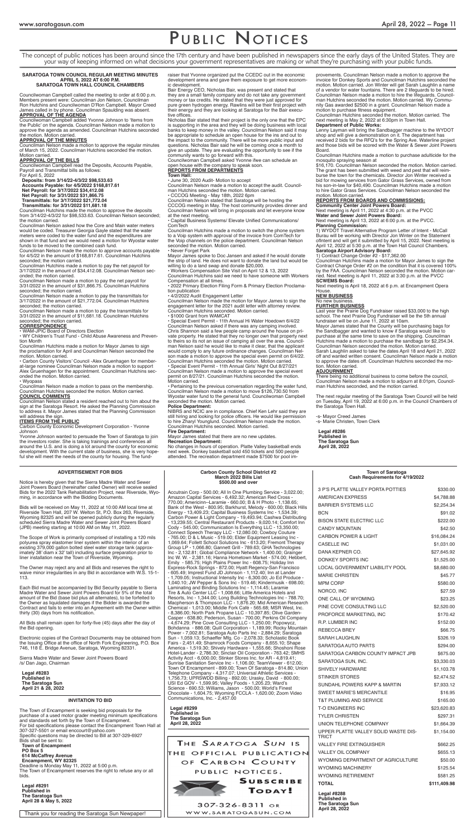## PUBLIC NOTICES

### **INVITATION TO BID**

The Town of Encampment is seeking bid proposals for the purchase of a used motor grader meeting minimum specifications and standards set forth by the Town of Encampment. For bid specifications please contact the Encampment Town Hall at 307-327-5501 or email enccourt@yahoo.com Specific questions may be directed to Bill at 307-329-6927 Bids shall be sent to: **Town of Encampment PO Box 5 614 McCaffrey Avenue Encampment, WY 82325** Deadline is Monday May 11, 2022 at 5:00 p.m.

The Town of Encampment reserves the right to refuse any or all bids.

**Legal #8291 Published in The Saratoga Sun April 28 & May 5, 2022**

### **March 2022 Bills List \$500.00 and over**

Accutrain Corp - 500.00; All In One Plumbing Service - 3,022.00; Amazon Capital Services - 6,492.32; American Red Cross - 770.00; Americinn--Laramie - 660.00; B & H Photo - 1,138.65; Bank of the West - 800.95; Barkhurst, Melody - 600.00; Black Hills Energy - 13,409.23; Capital Business Systems Inc - 1,534.39; Carbon Power & Light Company - 19,493.94; Cashwa Distributing - 13,239.55; Central Restaurant Products - 9,020.14; Comfort Inn Cody - 545.00; Communication Is Everything LLC - 13,350.00; Connect Speech Therapy LLC - 12,080.00; Cowboy Couture - 765.00; D & L Music - 519.00; Elder Equipment Leasing Inc - 1,069.64; Follett School Solutions Inc - 613.20; Fremont Therapy Group LP - 1,066.80; Gannett Grill - 789.63; GHA Technologies Inc - 2,132.81; Global Compliance Network - 1,400.00; Grainger Inc W. W. - 2,381.16; Hanna Hometown Market - 574.00; Hebbert, Emily - 585.75; High Plains Power Inc - 608.75; Holiday Inn Express-Rock Springs - 872.00; Hyatt Regency-San Francisco - 605.49; Imprest Fund JD Johnson - 1,112.40; Inn at Lander - 1,709.05; Instructional Intensity Inc - 6,300.00; Jo Ed Produce - 1,040.10; JW Pepper & Sons Inc - 519.46; Kindermusik - 698.00; Laminating and Binding Solutions Inc - 1,114.45; Laramie Tire & Auto Center LLC - 1,008.66; Little America Hotels and Resorts, Inc - 1,344.00; Long Building Technologies Inc - 788.70; Macpherson & Thompson LLC - 1,876.20; Mid American Research Chemical - 1,013.00; Middle Fork Café - 565.68; MSR West, Inc. - 8,386.00; North Park Propane LLC - 10,397.85; Olive Garden-Casper - 638.80; Pederson, Susan - 700.00; Perkins Oil Company - 4,674.29; Pine Cove Consulting LLC - 1,250.00; Popowycz, Bohdanna - 886.08; Quill Corporation - 1,189.99; Rocky Mountain Power - 7,002.81; Saratoga Auto Parts Inc - 2,884.29; Saratoga Sun - 1,059.13; Schaeffer Mfg. Co - 2,078.33; Scholastic Book Fairs - 2,451.49; Shamrock Foods Company - 8,655.10; Shape America - 1,519.30; Shively Hardware - 1,555.66; Shoshoni Rose Hotel-Lander - 2,786.30; Sinclair Oil Corporation - 763.42; SMHS Activity Acct - 6,000.00; Stinker Stores Inc. for AR - 4,819.41; Sunrise Sanitation Service Inc - 1,106.00; TeamViewer - 612.00; Town Of Encampment - 899.00; Town Of Saratoga - 814.80; Union Telephone Company - 4,317.07; Universal Athletic Services - 1,756.73; UPRSWDD Billing - 892.00; Urasky, David - 800.00; USI Ed GOV - 1,599.95; Valley Foods - 1,205.23; Ward's Science - 690.53; Williams, Jason - 500.00; World's Finest Chocolate - 1,604.75; Wyoming FCCLA - 1,620.00; Zoom Video Communications, Inc. - 2,457.00

**Legal #8299 Published in The Saratoga Sun April 28, 2022**

THE SARATOGA SUN IS THE OFFICIAL PUBLICATION OF CARBON COUNTY PUBLIC NOTICES.



**SUBSCRIBE** TODAY!

307-326-8311 or WWW.SARATOGASUN.COM

Yvonne Johnson wanted to persuade the Town of Saratoga to join the investors roster. She is taking trainings and conferences all around the U.S. and is doing a lot around the county for economic development. With the current state of business, she is very hopeful she will meet the needs of the county for housing. The fund-

The concept of public notices has been around since the 17th century and have been published in newspapers since the early days of the United States. They are your way of keeping informed on what decisions your government representatives are making or what they're purchasing with your public funds.

### **SARATOGA TOWN COUNCIL REGULAR MEETING MINUTES APRIL 5, 2022 AT 6:00 P.M. SARATOGA TOWN HALL COUNCIL CHAMBERS**

Councilwoman Campbell called the meeting to order at 6:00 p.m. Members present were: Councilman Jon Nelson, Councilman Ron Hutchins and Councilwoman D'Ron Campbell. Mayor Creed James called in by phone. Councilman Spaulding was absent.

### **APPROVAL OF THE AGENDA**

Councilwoman Campbell added Yvonne Johnson to 'Items from the Public' on the agenda. Councilman Nelson made a motion to approve the agenda as amended. Councilman Hutchins seconded the motion. Motion carried.

### **APPROVAL OF THE MINUTES**

Councilman Nelson made a motion to approve the regular minutes of March 15, 2022. Councilman Hutchins seconded the motion. Motion carried.

> • Capital Business Systems/ Elevate Unified Communications/ **ComTech**

### **APPROVAL OF THE BILLS**

Councilwoman Campbell read the Deposits, Accounts Payable, Payroll and Transmittal bills as follows:

### For April 5, 2022

**Deposits: from 3/14/22-4/3/22 \$98,533.63**

**Accounts Payable: for 4/5/2022 \$168,817.61 Net Payroll: for 3/17/2022 \$34,412.08**

**Net Payroll: for 3/31/2022 \$31,866.75 Transmittals: for 3/17/2022 \$21,772.04**

**Transmittals: for 3/31/2022 \$11,681.18**

Councilman Hutchins made the motion to approve the deposits from 3/14/22-4/3/22 for \$98,533.63. Councilman Nelson seconded; the motion carried.

Councilman Nelson asked how the Core and Main water meters would be coded. Treasurer Georgia Gayle stated that the water meters were coded to the water fund and the expenditures are shown in that fund and we would need a motion for Wyostar water funds to be moved to the combined cash fund.

Councilman Nelson made the motion to approve accounts payable for 4/5/22 in the amount of \$168,817.61. Councilman Hutchins seconded; the motion carried.

Councilman Hutchins made a motion to pay the net payroll for 3/17/2022 in the amount of \$34,412.08. Councilman Nelson seconded; the motion carried.

Councilman Nelson made a motion to pay the net payroll for 3/31/2022 in the amount of \$31,866.75. Councilman Hutchins seconded; the motion carried.

Councilman Nelson made a motion to pay the transmittals for 3/17/2022 in the amount of \$21,772.04. Councilman Hutchins seconded; the motion carried.

Councilman Nelson made a motion to pay the transmittals for 3/31/2022 in the amount of \$11,681.18. Councilman Hutchins seconded; the motion carried.

### **CORRESPONDENCE**

• WAM-JPIC Board of Directors Election

• WY Children's Trust Fund - Child Abuse Awareness and Prevention Month

Councilman Hutchins made a motion for Mayor James to sign the proclamation for April and Councilman Nelson seconded the motion. Motion carried.

• Carbon County Visitors' Council -Alex Gruenhagen for memberat-large nominee Councilman Nelson made a motion to support Alex Gruenhagen for the appointment. Councilman Hutchins seconded the motion. Motion carried.

### • Wyopass

Councilman Nelson made a motion to pass on the membership. Councilman Hutchins seconded the motion. Motion carried. **COUNCIL COMMENTS**

Councilman Nelson stated a resident reached out to him about the sign at the Saratoga Resort. He asked the Planning Commission to address it. Mayor James stated that the Planning Commission will address the sign.

### **ITEMS FROM THE PUBLIC**

Carbon County Economic Development Corporation - Yvonne Johnson

raiser that Yvonne organized put the CCEDC out in the economic development arena and gave them exposure to get more economic development.

Bair Energy CEO, Nicholas Bair, was present and stated that they are a small family company and do not take any government morey or tax credits. He stated that they were just approved for pure green hydrogen energy. Rawlins will be their first project with their energy and they are looking at Saratoga for the Bair executive offices.

Nicholas Bair stated that their project is the only one that the EPC is supporting in the area and they will be doing business with local banks to keep money in the valley. Councilman Nelson said it may be appropriate to schedule an open house for the ins and out to the impact to the community. There will be more public input and questions. Nicholas Bair said he will be coming once a month to give an update. They are evaluating the opportunity to see if the community wants to go forward with this.

Councilwoman Campbell asked Yvonne ifwe can schedule an open house with the company to speak soon.

### **REPORTS FROM DEPARTMENTS Town Hall:**

• June 30, 2020 Audit- Motion to accept

Councilman Nelson made a motion to accept the audit. Councilman Hutchins seconded the motion. Motion carried.

• CCCOG Meeting - May 18th, 2022 6pm Councilman Nelson stated that Saratoga will be hosting the CCCOG meeting in May. The host community provides dinner and Councilman Nelson will bring in proposals and let everyone know at the next meeting.

| <b>3 P'S PLATTE VALLEY PORTA POTTIES</b>             | \$330.00     |
|------------------------------------------------------|--------------|
| <b>AMERICAN EXPRESS</b>                              | \$4,788.88   |
| <b>BARRIER SYSTEMS LLC</b>                           | \$2,254.34   |
| <b>BCN</b>                                           | \$91.02      |
| <b>BISON STATE ELECTRIC LLC</b>                      | \$222.00     |
| <b>CANDY MOUNTAIN</b>                                | \$42.50      |
| <b>CARBON POWER &amp; LIGHT</b>                      | \$16,084.24  |
| <b>CASELLE INC</b>                                   | \$1,031.00   |
| DANA KEPNER CO.                                      | \$27,645.92  |
| <b>DONKEY SPORTS INC</b>                             | \$1,525.00   |
| <b>LOCAL GOVERNMENT LIABILITY POOL</b>               | \$8,680.00   |
| <b>MARIE CHRISTEN</b>                                | \$45.77      |
| MPM CORP                                             | \$580.00     |
| NORCO, INC                                           | \$27.59      |
| ONE CALL OF WYOMING                                  | \$23.25      |
| PINE COVE CONSULTING LLC                             | \$2,520.00   |
| PROFORCE MARKETING, INC.                             | \$170.42     |
| <b>R.P. LUMBER INC</b>                               | \$152.00     |
| <b>REBECCA BREY</b>                                  | \$66.75      |
| <b>SARAH LAUGHLIN</b>                                | \$326.19     |
| SARATOGA AUTO PARTS                                  | \$294.00     |
| SARATOGA CARBON COUNTY IMPACT JPB                    | \$675.00     |
| SARATOGA SUN, INC.                                   | \$3,330.03   |
| SHIVELY HARDWARE                                     | \$1,103.78   |
| <b>STINKER STORES</b>                                | \$2,474.52   |
| SUNDAHL POWERS KAPP & MARTIN                         | \$7,933.12   |
| <b>SWEET MARIE'S MERCANTILE</b>                      | \$16.95      |
| <b>T&amp;T PLUMING AND SERVICE</b>                   | \$165.00     |
| <b>T-O ENGINEERS INC</b>                             | \$23,620.83  |
| <b>TYLER CHRISTEN</b>                                | \$297.31     |
| UNION TELEPHONE COMPANY                              | \$1,664.39   |
| UPPER PLATTE VALLEY SOLID WASTE DIS-<br><b>TRICT</b> | \$1,154.00   |
| <b>VALLEY FIRE EXTINGUISHER</b>                      | \$662.25     |
| <b>VALLEY OIL COMPANY</b>                            | \$655.13     |
| WYOMING DEPARTMENT OF AGRICULTURE                    | \$50.00      |
| <b>WYOMING MACHINERY</b>                             | \$125.54     |
| <b>WYOMING RETIREMENT</b>                            | \$581.25     |
| <b>TOTAL</b>                                         | \$111,409.98 |

Councilman Hutchins made a motion to switch the phone system to a Voip system with approval of the invoice from ComTech for the Voip channels on the police department. Councilman Nelson seconded the motion. Motion carried.

### • Never Forget Park

Mayor James spoke to Doc Jansen and asked if he would donate the strip of land. He does not want to donate the land but would be willing to do a land swap and donate \$20,000.

• Workers Compensation Site Visit on April 12 & 13, 2022

Councilman Hutchins said we need to have someone with Workers Compensation at all times.

• 2022 Primary Election Filing Form & Primary Election Proclamation publication

• 4/2/2022 Audit Engagement Letter

Councilman Nelson made the motion for Mayor James to sign the engagement letter for the 2021 audit letter with attorney review. Councilman Hutchins seconded. Motion carried.

• \$1000 Grant from WAMCAT

• Special Event Permit - 11th Annual Hi Water Hoedown 6/4/22 Councilman Nelson asked if there was any camping involved. Chris Shannon said a few people camp around the house on private property. He stated that they no longer own that property next to theirs so its not an issue of camping all over the area. Councilman Nelson said he would like to make it clear, that the applicant would comply to any future ordinance changes. Councilman Nelson made a motion to approve the special even permit on 6/4/22. Councilman Hutchins seconded the motion. Motion carried. • Special Event Permit - 11th Annual Girls' Night Out 8/27/221 Councilman Nelson made a motion to approve the special event permit on 8/27/21. Councilman Hutchins seconded the motion. Motion carried.

• Pertaining to the previous conversation regarding the water fund, Councilman Nelson made a motion to move \$126,730.50 from Wyostar water fund to the general fund. Councilwoman Campbell seconded the motion. Motion carried.

### **Police Department:**

NIBRS and NCIC are in compliance. Chief Ken Lehr said they are still hiring and looking for police officers. He would like permission to hire Zharyl Younglund. Councilman Nelson made the motion. Councilman Hutchins seconded. Motion carried.

### **Fire Department:**

Mayor James stated that there are no new updates. **Recreation Department:** 

No changes in hours of operation. Platte Valley basketball ends next week. Donkey basketball sold 450 tickets and 500 people attended. The recreation department made \$7500 for pool improvements. Councilman Nelson made a motion to approve the invoice for Donkey Sports and Councilman Hutchins seconded the motion. Motion carried. Jon Winter will get Sarah Laughlin a name of a vendor for water fountains. There are 2 lifeguards to be hired. Councilman Nelson made a motion to hire the lifeguards. Councilman Hutchins seconded the motion. Motion carried. Wy Community Gas awarded \$2500 in a grant. Councilman Nelson made a motion to purchase fitness equipment.

Councilman Hutchins seconded the motion. Motion carried. The next meeting is May 2, 2022 at 6:30pm in Town Hall. **Department of Public Works:**

### Lenny Layman will bring the Sandbagger machine to the WYDOT shop and will give a demonstration on it. The department has received 2 bids for the RFQ's for the Spring Ave. Waterline project and those bids will be scored with the Water & Sewer Joint Powers Board.

Councilman Hutchins made a motion to purchase adulticide for the mosquito spraying season at

\$16,170. Councilman Nelson seconded the motion. Motion carried. The grant has been submitted with weed and pest that will reimburse the town for the chemicals. Director Jon Winter received a bid for mowing services from Gator Grass Services, owned from his son-in-law for \$40,490. Councilman Hutchins made a motion to hire Gator Grass Services. Councilman Nelson seconded the motion. Motion carried.

### **REPORTS FROM BOARDS AND COMMISSIONS:**

**Community Center Joint Powers Board:**  Next meeting is April 11, 2022 at 4:30 p.m. at the PVCC **Water and Sewer Joint Powers Board:**

Next meeting is April 13, 2022 at 6:00 p.m. at the PVCC. **Planning Commission:** 

1) WYDOT Travel Alternative Program Letter of Intent - McCall Burau will be working with Director Jon Winter on the Statement oflntent and will get it submitted by April 15, 2022. Next meeting is April 12, 2022 at 5:30 p.m. at the Town Hall Council Chambers. **Saratoga Airport Advisory Board:**

1) Contract Change Order #2 - \$17,362.00 Councilman Hutchins made a motion for Mayor James to sign the Contract Change Order #2 on the condition that it is covered 100% by the FAA. Councilman Nelson seconded the motion. Motion carried. Next meeting is April 11, 2022 at 3:30 p.m. at the PVCC **SCWEMS Board:** 

Next meeting is April 18, 2022 at 6 p.m. at Encampment Opera House.

### **NEW BUSINESS**

No new business.

### **FURTHER BUSINESS**

Last year the Prairie Dog Fundraiser raised \$33,000 to the high school. The next Prairie Dog Fundraiser will be the 5th annual fundraiser will be on June 11, 2022 at 10am.

Mayor James stated that the County will be purchasing bags for the Sandbagger and wanted to know if Saratoga would like to purchase at the same time to save on the shipping. Councilman Hutchins made a motion to purchase the sandbags for \$2,254.34. Councilman Nelson seconded the motion. Motion carried. Sarah Laughlin asked to take the dates April 18 and April 21, 2022 off and wanted written consent. Councilman Nelson made a motion to approve the dates off. Councilman Hutchins seconded the motion. Motion carried.

### **ADJOURNMENT**

There being no additional business to come before the council, Councilman Nelson made a motion to adjourn at 8:01pm, Councilman Hutchins seconded, and the motion carried.

The next regular meeting of the Saratoga Town Council will be held on Tuesday, April 19, 2022 at 6:00 p.m. in the Council Chambers of the Saratoga Town Hall.

-s- Mayor Creed James

-s- Marie Christen, Town Clerk

**Legal #8286 Published in The Saratoga Sun April 28, 2022**

Notice is hereby given that the Sierra Madre Water and Sewer Joint Powers Board (hereinafter called Owner) will receive sealed Bids for the 2022 Tank Rehabilitation Project, near Riverside, Wyoming, in accordance with the Bidding Documents.

Bids will be received on May 11, 2022 at 10:00 AM local time at Riverside Town Hall, 207 W. Welton St, P.O. Box 263, Riverside, Wyoming 82325 and will be opened publicly during the regularly scheduled Sierra Madre Water and Sewer Joint Powers Board (JPB) meeting starting at 10:00 AM on May 11, 2022.

The Scope of Work is primarily comprised of installing a 120 mils polyurea spray elastomer liner system within the interior of an existing 379,000 gallon bolted steel water storage tank (approximately 38' diam x 32' tall) including surface preparation prior to liner installation near the Town of Riverside, Wyoming.

The Owner may reject any and all Bids and reserves the right to waive minor irregularities in any Bid in accordance with W.S. 15-1- 113.

Each Bid must be accompanied by Bid Security payable to Sierra Madre Water and Sewer Joint Powers Board for 5% of the total amount of the Bid (base bid plus all alternates), to be forfeited to the Owner as liquidated damages if the Bidder is awarded the Contract and fails to enter into an Agreement with the Owner within thirty (30) days from his notification.

All Bids shall remain open for forty-five (45) days after the day of the Bid opening.

Electronic copies of the Contract Documents may be obtained from the Issuing Office at the office of North Fork Engineering, P.O. Box 746, 118 E. Bridge Avenue, Saratoga, Wyoming 82331.

Sierra Madre Water and Sewer Joint Powers Board /s/ Dan Jago, Chairman

**Legal #8283 Published in The Saratoga Sun April 21 & 28, 2022**

### **Cash Requirements for 4/19/2022**

**Legal #8288 Published in The Saratoga Sun April 28, 2022**

Thank you for reading the Saratoga Sun Newpaper!